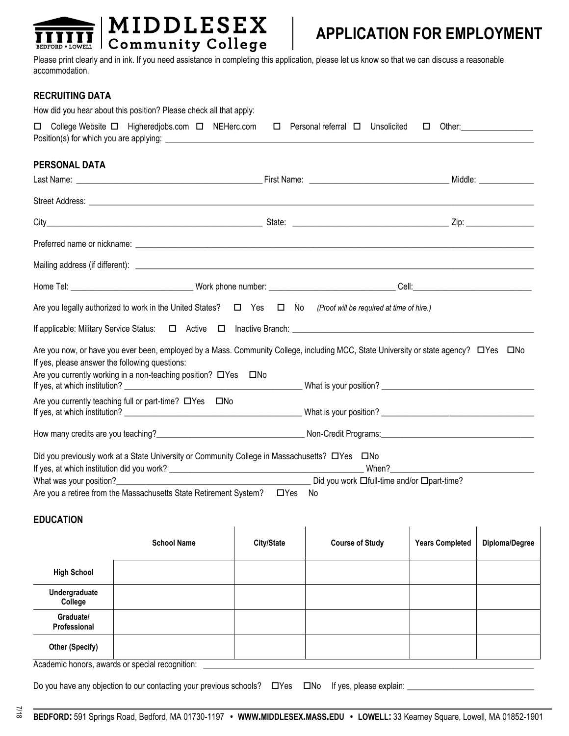

# **APPLICATION FOR EMPLOYMENT**

Please print clearly and in ink. If you need assistance in completing this application, please let us know so that we can discuss a reasonable accommodation.

### **RECRUITING DATA**

| How did you hear about this position? Please check all that apply:                                                                                                                                                                                    |                                             |        |
|-------------------------------------------------------------------------------------------------------------------------------------------------------------------------------------------------------------------------------------------------------|---------------------------------------------|--------|
| □ College Website □ Higheredjobs.com □ NEHerc.com                                                                                                                                                                                                     | $\Box$ Personal referral $\Box$ Unsolicited | $\Box$ |
| PERSONAL DATA                                                                                                                                                                                                                                         |                                             |        |
|                                                                                                                                                                                                                                                       |                                             |        |
|                                                                                                                                                                                                                                                       |                                             |        |
|                                                                                                                                                                                                                                                       |                                             |        |
|                                                                                                                                                                                                                                                       |                                             |        |
|                                                                                                                                                                                                                                                       |                                             |        |
|                                                                                                                                                                                                                                                       |                                             |        |
| Are you legally authorized to work in the United States? $\Box$ Yes $\Box$ No                                                                                                                                                                         | (Proof will be required at time of hire.)   |        |
|                                                                                                                                                                                                                                                       |                                             |        |
| Are you now, or have you ever been, employed by a Mass. Community College, including MCC, State University or state agency?<br><br>If yes, please answer the following questions:<br>Are you currently working in a non-teaching position? □ Yes □ No |                                             |        |
|                                                                                                                                                                                                                                                       |                                             |        |
| Are you currently teaching full or part-time? $\Box$ Yes $\Box$ No                                                                                                                                                                                    |                                             |        |
|                                                                                                                                                                                                                                                       |                                             |        |
| Did you previously work at a State University or Community College in Massachusetts? □ Yes □ No                                                                                                                                                       |                                             |        |
|                                                                                                                                                                                                                                                       |                                             |        |
| Are you a retiree from the Massachusetts State Retirement System?<br>UYes Mo                                                                                                                                                                          |                                             |        |

## **EDUCATION**

|                           | <b>School Name</b> | City/State | <b>Course of Study</b> | <b>Years Completed</b> | Diploma/Degree |
|---------------------------|--------------------|------------|------------------------|------------------------|----------------|
| <b>High School</b>        |                    |            |                        |                        |                |
| Undergraduate<br>College  |                    |            |                        |                        |                |
| Graduate/<br>Professional |                    |            |                        |                        |                |
| <b>Other (Specify)</b>    |                    |            |                        |                        |                |

Academic honors, awards or special recognition:

Do you have any objection to our contacting your previous schools?  $\Box$  Yes  $\Box$  No If yes, please explain:  $\Box$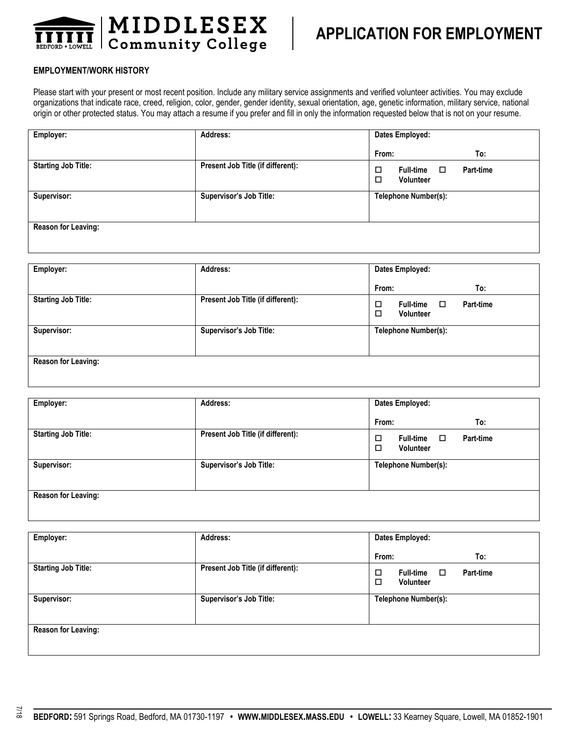

#### **EMPLOYMENT/WORK HISTORY**

Please start with your present or most recent position. Include any military service assignments and verified volunteer activities. You may exclude organizations that indicate race, creed, religion, color, gender, gender identity, sexual orientation, age, genetic information, military service, national origin or other protected status. You may attach a resume if you prefer and fill in only the information requested below that is not on your resume.

| Employer:                  | Address:                          | Dates Employed:                                           |  |
|----------------------------|-----------------------------------|-----------------------------------------------------------|--|
|                            |                                   | From:<br>To:                                              |  |
| <b>Starting Job Title:</b> | Present Job Title (if different): | <b>Full-time</b><br>Part-time<br>□<br>□<br>Volunteer<br>□ |  |
| Supervisor:                | Supervisor's Job Title:           | <b>Telephone Number(s):</b>                               |  |
|                            |                                   |                                                           |  |
| <b>Reason for Leaving:</b> |                                   |                                                           |  |
|                            |                                   |                                                           |  |

| Employer:                  | Address:                          | Dates Employed:                                           |  |
|----------------------------|-----------------------------------|-----------------------------------------------------------|--|
|                            |                                   | To:<br>From:                                              |  |
| <b>Starting Job Title:</b> | Present Job Title (if different): | Full-time<br>□<br>Part-time<br>□<br><b>Volunteer</b><br>□ |  |
| Supervisor:                | Supervisor's Job Title:           | <b>Telephone Number(s):</b>                               |  |
| Reason for Leaving:        |                                   |                                                           |  |

| Employer:                  | Address:                          | Dates Employed:                                                       |  |
|----------------------------|-----------------------------------|-----------------------------------------------------------------------|--|
|                            |                                   | From:<br>To:                                                          |  |
| <b>Starting Job Title:</b> | Present Job Title (if different): | Full-time<br><b>Part-time</b><br>$\Box$<br>□<br><b>Volunteer</b><br>□ |  |
| Supervisor:                | Supervisor's Job Title:           | Telephone Number(s):                                                  |  |
| Reason for Leaving:        |                                   |                                                                       |  |

| Employer:                  | Address:                          | Dates Employed:                                                |  |
|----------------------------|-----------------------------------|----------------------------------------------------------------|--|
|                            |                                   | From:<br>To:                                                   |  |
| <b>Starting Job Title:</b> | Present Job Title (if different): | Full-time<br>□<br>$\Box$<br>Part-time<br><b>Volunteer</b><br>□ |  |
| Supervisor:                | Supervisor's Job Title:           | Telephone Number(s):                                           |  |
| <b>Reason for Leaving:</b> |                                   |                                                                |  |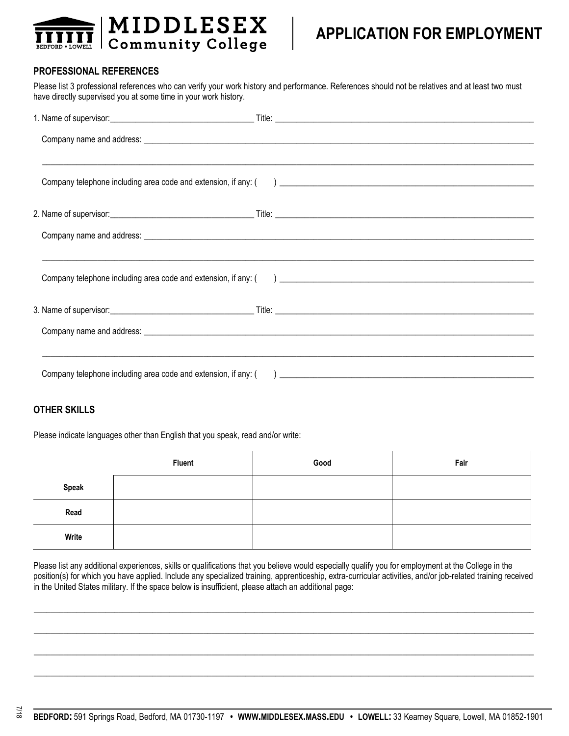

# **APPLICATION FOR EMPLOYMENT**

### **PROFESSIONAL REFERENCES**

Please list 3 professional references who can verify your work history and performance. References should not be relatives and at least two must have directly supervised you at some time in your work history.

### **OTHER SKILLS**

Please indicate languages other than English that you speak, read and/or write:

|              | <b>Fluent</b> | Good | Fair |
|--------------|---------------|------|------|
| <b>Speak</b> |               |      |      |
| Read         |               |      |      |
| Write        |               |      |      |

Please list any additional experiences, skills or qualifications that you believe would especially qualify you for employment at the College in the position(s) for which you have applied. Include any specialized training, apprenticeship, extra-curricular activities, and/or job-related training received in the United States military. If the space below is insufficient, please attach an additional page:

 $\Box$ 

 $\Box$ 

 $\Box$ 

 $\_$  , and the set of the set of the set of the set of the set of the set of the set of the set of the set of the set of the set of the set of the set of the set of the set of the set of the set of the set of the set of th